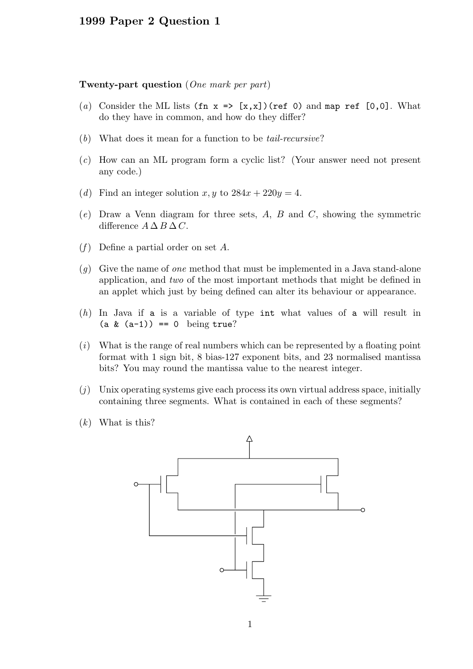## 1999 Paper 2 Question 1

## Twenty-part question (One mark per part)

- (a) Consider the ML lists  $(\text{fn } x \implies [x,x])$  (ref 0) and map ref  $[0,0]$ . What do they have in common, and how do they differ?
- (b) What does it mean for a function to be tail-recursive?
- (c) How can an ML program form a cyclic list? (Your answer need not present any code.)
- (d) Find an integer solution x, y to  $284x + 220y = 4$ .
- $(e)$  Draw a Venn diagram for three sets, A, B and C, showing the symmetric difference  $A \Delta B \Delta C$ .
- $(f)$  Define a partial order on set A.
- $(q)$  Give the name of one method that must be implemented in a Java stand-alone application, and two of the most important methods that might be defined in an applet which just by being defined can alter its behaviour or appearance.
- (h) In Java if a is a variable of type int what values of a will result in  $(a & (a-1)) == 0$  being true?
- $(i)$  What is the range of real numbers which can be represented by a floating point format with 1 sign bit, 8 bias-127 exponent bits, and 23 normalised mantissa bits? You may round the mantissa value to the nearest integer.
- $(j)$  Unix operating systems give each process its own virtual address space, initially containing three segments. What is contained in each of these segments?
- $(k)$  What is this?